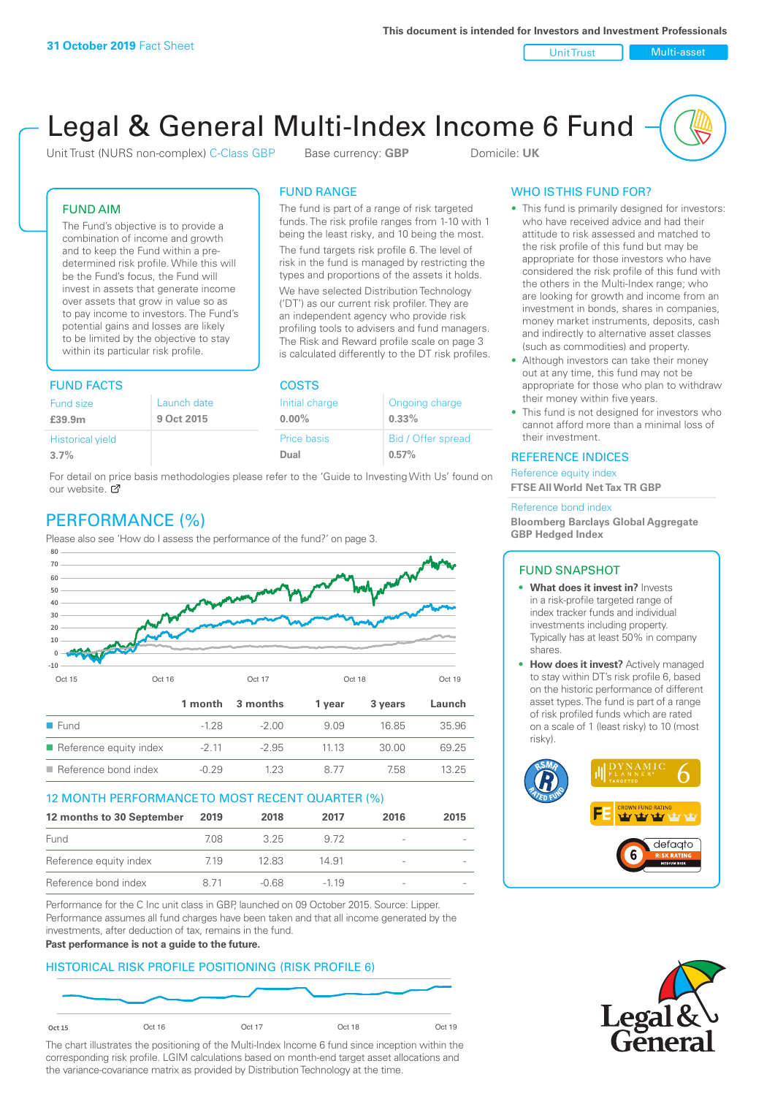Unit Trust Nulti-asset

# Legal & General Multi-Index Income 6 Fund

Unit Trust (NURS non-complex) C-Class GBP Base currency: **GBP** Domicile: UK

The fund is part of a range of risk targeted funds. The risk profile ranges from 1-10 with 1 being the least risky, and 10 being the most. The fund targets risk profile 6. The level of risk in the fund is managed by restricting the types and proportions of the assets it holds. We have selected Distribution Technology ('DT') as our current risk profiler. They are an independent agency who provide risk profiling tools to advisers and fund managers. The Risk and Reward profile scale on page 3 is calculated differently to the DT risk profiles.

FUND RANGE

## FUND AIM

The Fund's objective is to provide a combination of income and growth and to keep the Fund within a predetermined risk profile. While this will be the Fund's focus, the Fund will invest in assets that generate income over assets that grow in value so as to pay income to investors. The Fund's potential gains and losses are likely to be limited by the objective to stay within its particular risk profile.

## FUND FACTS COSTS

| .           |                | ----               |  |  |
|-------------|----------------|--------------------|--|--|
| Launch date | Initial charge | Ongoing charge     |  |  |
| 9 Oct 2015  | $0.00\%$       | 0.33%              |  |  |
|             | Price basis    | Bid / Offer spread |  |  |
|             | Dual           | 0.57%              |  |  |
|             |                |                    |  |  |

For detail on price basis methodologies please refer to the 'Guide to Investing With Us' found on our website. Ø

# PERFORMANCE (%)

Please also see 'How do I assess the performance of the fund?' on page 3.



## 12 MONTH PERFORMANCE TO MOST RECENT QUARTER (%)

| 12 months to 30 September | 2019 | 2018  | 2017   | 2016                     | 2015 |
|---------------------------|------|-------|--------|--------------------------|------|
| Fund                      | 708. | 325   | 9.72   |                          |      |
| Reference equity index    | 7.19 | 12.83 | 14.91  | -                        |      |
| Reference bond index      | 8.71 | -0.68 | $-119$ | $\overline{\phantom{0}}$ |      |

Performance for the C Inc unit class in GBP, launched on 09 October 2015. Source: Lipper. Performance assumes all fund charges have been taken and that all income generated by the investments, after deduction of tax, remains in the fund.

#### **Past performance is not a guide to the future.**

## HISTORICAL RISK PROFILE POSITIONING (RISK PROFILE 6)



The chart illustrates the positioning of the Multi-Index Income 6 fund since inception within the corresponding risk profile. LGIM calculations based on month-end target asset allocations and the variance-covariance matrix as provided by Distribution Technology at the time.

## WHO IS THIS FUND FOR?

- This fund is primarily designed for investors: who have received advice and had their attitude to risk assessed and matched to the risk profile of this fund but may be appropriate for those investors who have considered the risk profile of this fund with the others in the Multi-Index range; who are looking for growth and income from an investment in bonds, shares in companies, money market instruments, deposits, cash and indirectly to alternative asset classes (such as commodities) and property.
- Although investors can take their money out at any time, this fund may not be appropriate for those who plan to withdraw their money within five years.
- This fund is not designed for investors who cannot afford more than a minimal loss of their investment.

## REFERENCE INDICES

Reference equity index **FTSE All World Net Tax TR GBP**

#### Reference bond index

**Bloomberg Barclays Global Aggregate GBP Hedged Index**

## FUND SNAPSHOT

- **• What does it invest in?** Invests in a risk-profile targeted range of index tracker funds and individual investments including property. Typically has at least 50% in company shares.
- **• How does it invest?** Actively managed to stay within DT's risk profile 6, based on the historic performance of different asset types. The fund is part of a range of risk profiled funds which are rated on a scale of 1 (least risky) to 10 (most risky).



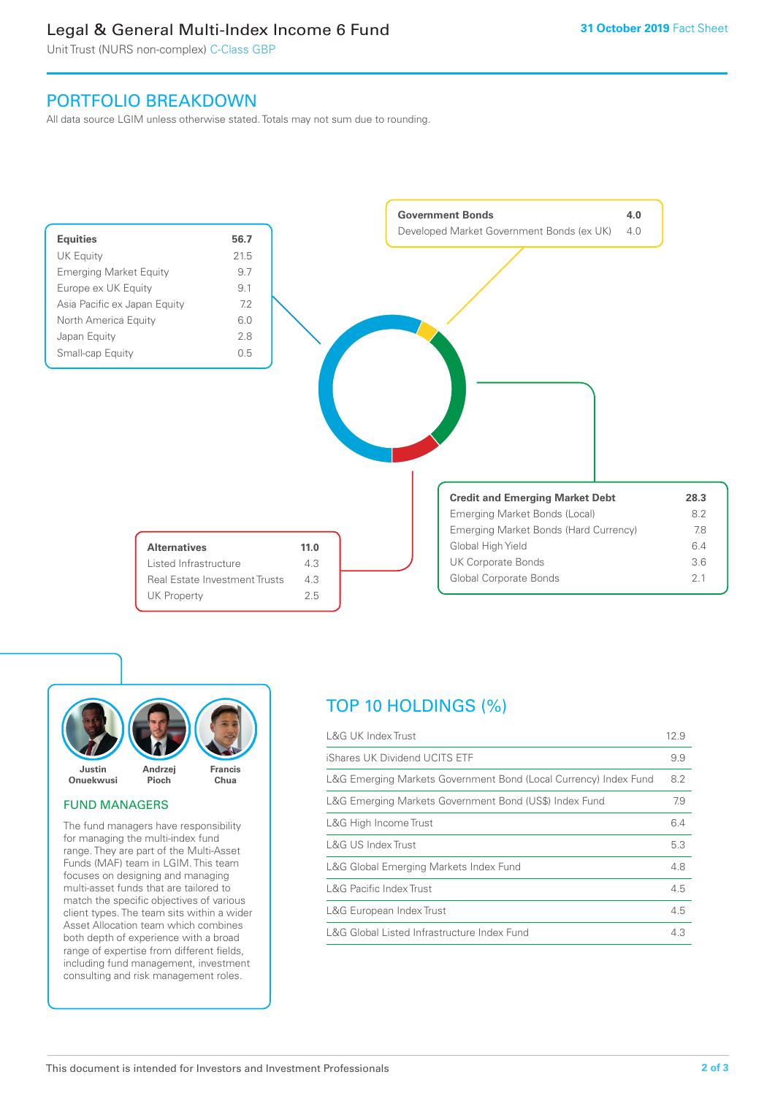# Legal & General Multi-Index Income 6 Fund

Unit Trust (NURS non-complex) C-Class GBP

# PORTFOLIO BREAKDOWN

All data source LGIM unless otherwise stated. Totals may not sum due to rounding.





## FUND MANAGERS

The fund managers have responsibility for managing the multi-index fund range. They are part of the Multi-Asset Funds (MAF) team in LGIM. This team focuses on designing and managing multi-asset funds that are tailored to match the specific objectives of various client types. The team sits within a wider Asset Allocation team which combines both depth of experience with a broad range of expertise from different fields, including fund management, investment consulting and risk management roles.

# TOP 10 HOLDINGS (%)

| <b>L&amp;G UK Index Trust</b>                                    | 12.9 |
|------------------------------------------------------------------|------|
| iShares UK Dividend UCITS ETF                                    | 9.9  |
| L&G Emerging Markets Government Bond (Local Currency) Index Fund | 8.2  |
| L&G Emerging Markets Government Bond (US\$) Index Fund           | 7.9  |
| L&G High Income Trust                                            | 6.4  |
| L&G US Index Trust                                               | 5.3  |
| L&G Global Emerging Markets Index Fund                           | 4.8  |
| <b>L&amp;G Pacific Index Trust</b>                               | 4.5  |
| L&G European Index Trust                                         | 4.5  |
| L&G Global Listed Infrastructure Index Fund                      | 4.3  |